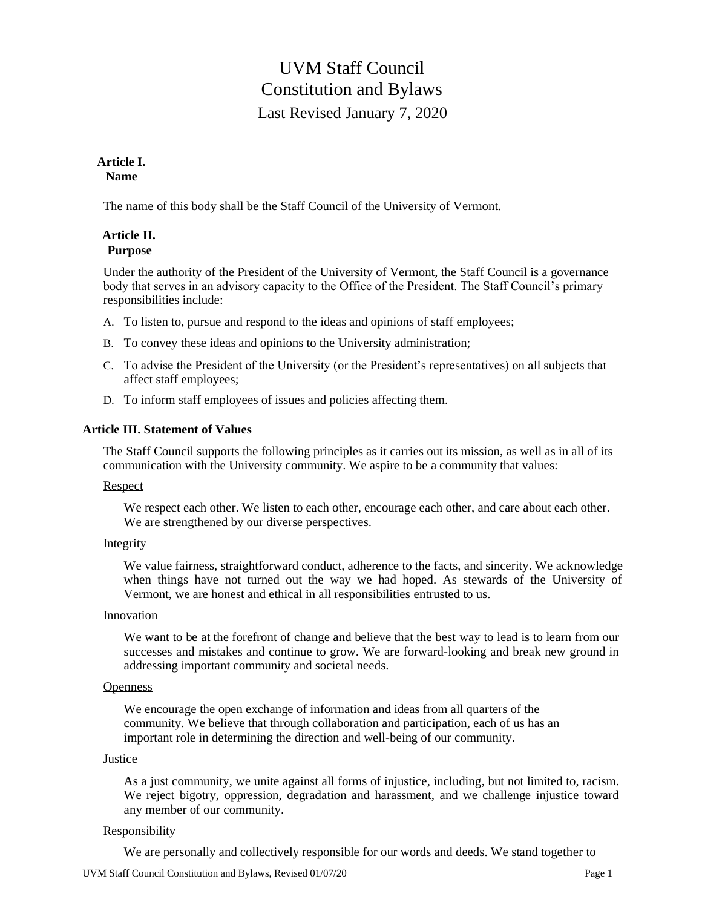# UVM Staff Council Constitution and Bylaws Last Revised January 7, 2020

## **Article I. Name**

The name of this body shall be the Staff Council of the University of Vermont.

# **Article II. Purpose**

Under the authority of the President of the University of Vermont, the Staff Council is a governance body that serves in an advisory capacity to the Office of the President. The Staff Council's primary responsibilities include:

- A. To listen to, pursue and respond to the ideas and opinions of staff employees;
- B. To convey these ideas and opinions to the University administration;
- C. To advise the President of the University (or the President's representatives) on all subjects that affect staff employees;
- D. To inform staff employees of issues and policies affecting them.

# **Article III. Statement of Values**

The Staff Council supports the following principles as it carries out its mission, as well as in all of its communication with the University community. We aspire to be a community that values:

#### Respect

We respect each other. We listen to each other, encourage each other, and care about each other. We are strengthened by our diverse perspectives.

# Integrity

We value fairness, straightforward conduct, adherence to the facts, and sincerity. We acknowledge when things have not turned out the way we had hoped. As stewards of the University of Vermont, we are honest and ethical in all responsibilities entrusted to us.

#### Innovation

We want to be at the forefront of change and believe that the best way to lead is to learn from our successes and mistakes and continue to grow. We are forward-looking and break new ground in addressing important community and societal needs.

#### **Openness**

We encourage the open exchange of information and ideas from all quarters of the community. We believe that through collaboration and participation, each of us has an important role in determining the direction and well-being of our community.

#### **Justice**

As a just community, we unite against all forms of injustice, including, but not limited to, racism. We reject bigotry, oppression, degradation and harassment, and we challenge injustice toward any member of our community.

#### Responsibility

We are personally and collectively responsible for our words and deeds. We stand together to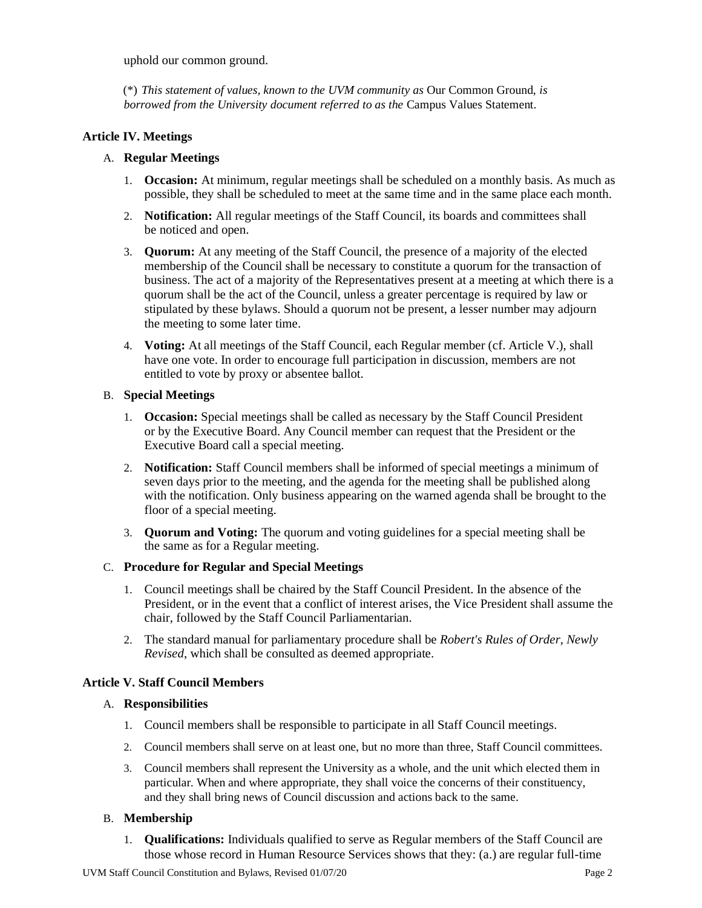uphold our common ground.

(\*) *This statement of values, known to the UVM community as* Our Common Ground, *is borrowed from the University document referred to as the* Campus Values Statement*.*

## **Article IV. Meetings**

## A. **Regular Meetings**

- 1. **Occasion:** At minimum, regular meetings shall be scheduled on a monthly basis. As much as possible, they shall be scheduled to meet at the same time and in the same place each month.
- 2. **Notification:** All regular meetings of the Staff Council, its boards and committees shall be noticed and open.
- 3. **Quorum:** At any meeting of the Staff Council, the presence of a majority of the elected membership of the Council shall be necessary to constitute a quorum for the transaction of business. The act of a majority of the Representatives present at a meeting at which there is a quorum shall be the act of the Council, unless a greater percentage is required by law or stipulated by these bylaws. Should a quorum not be present, a lesser number may adjourn the meeting to some later time.
- 4. **Voting:** At all meetings of the Staff Council, each Regular member (cf. Article V.), shall have one vote. In order to encourage full participation in discussion, members are not entitled to vote by proxy or absentee ballot.

#### B. **Special Meetings**

- 1. **Occasion:** Special meetings shall be called as necessary by the Staff Council President or by the Executive Board. Any Council member can request that the President or the Executive Board call a special meeting.
- 2. **Notification:** Staff Council members shall be informed of special meetings a minimum of seven days prior to the meeting, and the agenda for the meeting shall be published along with the notification. Only business appearing on the warned agenda shall be brought to the floor of a special meeting.
- 3. **Quorum and Voting:** The quorum and voting guidelines for a special meeting shall be the same as for a Regular meeting.

# C. **Procedure for Regular and Special Meetings**

- 1. Council meetings shall be chaired by the Staff Council President. In the absence of the President, or in the event that a conflict of interest arises, the Vice President shall assume the chair, followed by the Staff Council Parliamentarian.
- 2. The standard manual for parliamentary procedure shall be *Robert's Rules of Order, Newly Revised*, which shall be consulted as deemed appropriate.

#### **Article V. Staff Council Members**

#### A. **Responsibilities**

- 1. Council members shall be responsible to participate in all Staff Council meetings.
- 2. Council members shall serve on at least one, but no more than three, Staff Council committees.
- 3. Council members shall represent the University as a whole, and the unit which elected them in particular. When and where appropriate, they shall voice the concerns of their constituency, and they shall bring news of Council discussion and actions back to the same.

#### B. **Membership**

1. **Qualifications:** Individuals qualified to serve as Regular members of the Staff Council are those whose record in Human Resource Services shows that they: (a.) are regular full-time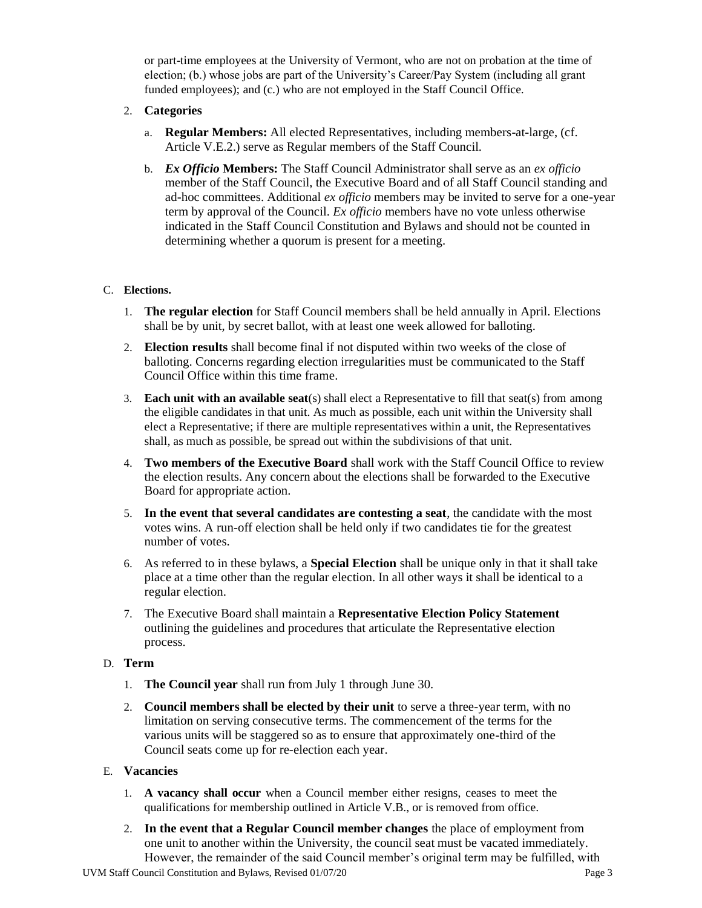or part-time employees at the University of Vermont, who are not on probation at the time of election; (b.) whose jobs are part of the University's Career/Pay System (including all grant funded employees); and (c.) who are not employed in the Staff Council Office.

- 2. **Categories**
	- a. **Regular Members:** All elected Representatives, including members-at-large, (cf. Article V.E.2.) serve as Regular members of the Staff Council.
	- b. *Ex Officio* **Members:** The Staff Council Administrator shall serve as an *ex officio* member of the Staff Council, the Executive Board and of all Staff Council standing and ad-hoc committees. Additional *ex officio* members may be invited to serve for a one-year term by approval of the Council. *Ex officio* members have no vote unless otherwise indicated in the Staff Council Constitution and Bylaws and should not be counted in determining whether a quorum is present for a meeting.

## C. **Elections.**

- 1. **The regular election** for Staff Council members shall be held annually in April. Elections shall be by unit, by secret ballot, with at least one week allowed for balloting.
- 2. **Election results** shall become final if not disputed within two weeks of the close of balloting. Concerns regarding election irregularities must be communicated to the Staff Council Office within this time frame.
- 3. **Each unit with an available seat**(s) shall elect a Representative to fill that seat(s) from among the eligible candidates in that unit. As much as possible, each unit within the University shall elect a Representative; if there are multiple representatives within a unit, the Representatives shall, as much as possible, be spread out within the subdivisions of that unit.
- 4. **Two members of the Executive Board** shall work with the Staff Council Office to review the election results. Any concern about the elections shall be forwarded to the Executive Board for appropriate action.
- 5. **In the event that several candidates are contesting a seat**, the candidate with the most votes wins. A run-off election shall be held only if two candidates tie for the greatest number of votes.
- 6. As referred to in these bylaws, a **Special Election** shall be unique only in that it shall take place at a time other than the regular election. In all other ways it shall be identical to a regular election.
- 7. The Executive Board shall maintain a **Representative Election Policy Statement** outlining the guidelines and procedures that articulate the Representative election process.

#### D. **Term**

- 1. **The Council year** shall run from July 1 through June 30.
- 2. **Council members shall be elected by their unit** to serve a three-year term, with no limitation on serving consecutive terms. The commencement of the terms for the various units will be staggered so as to ensure that approximately one-third of the Council seats come up for re-election each year.
- E. **Vacancies**
	- 1. **A vacancy shall occur** when a Council member either resigns, ceases to meet the qualifications for membership outlined in Article V.B., or is removed from office.
	- 2. **In the event that a Regular Council member changes** the place of employment from one unit to another within the University, the council seat must be vacated immediately. However, the remainder of the said Council member's original term may be fulfilled, with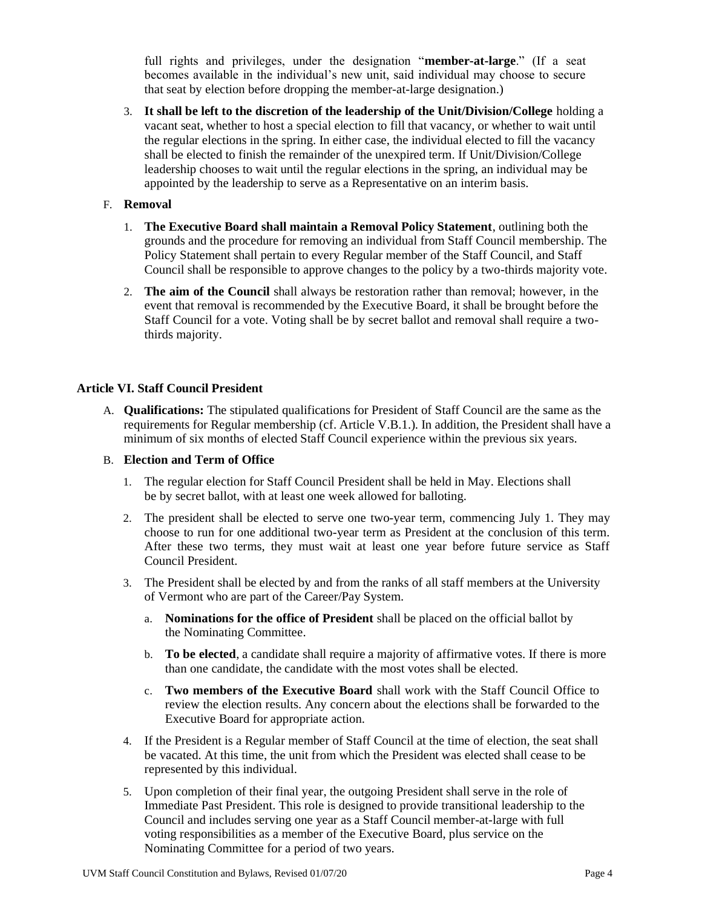full rights and privileges, under the designation "**member-at-large**." (If a seat becomes available in the individual's new unit, said individual may choose to secure that seat by election before dropping the member-at-large designation.)

3. **It shall be left to the discretion of the leadership of the Unit/Division/College** holding a vacant seat, whether to host a special election to fill that vacancy, or whether to wait until the regular elections in the spring. In either case, the individual elected to fill the vacancy shall be elected to finish the remainder of the unexpired term. If Unit/Division/College leadership chooses to wait until the regular elections in the spring, an individual may be appointed by the leadership to serve as a Representative on an interim basis.

## F. **Removal**

- 1. **The Executive Board shall maintain a Removal Policy Statement**, outlining both the grounds and the procedure for removing an individual from Staff Council membership. The Policy Statement shall pertain to every Regular member of the Staff Council, and Staff Council shall be responsible to approve changes to the policy by a two-thirds majority vote.
- 2. **The aim of the Council** shall always be restoration rather than removal; however, in the event that removal is recommended by the Executive Board, it shall be brought before the Staff Council for a vote. Voting shall be by secret ballot and removal shall require a twothirds majority.

## **Article VI. Staff Council President**

A. **Qualifications:** The stipulated qualifications for President of Staff Council are the same as the requirements for Regular membership (cf. Article V.B.1.). In addition, the President shall have a minimum of six months of elected Staff Council experience within the previous six years.

#### B. **Election and Term of Office**

- 1. The regular election for Staff Council President shall be held in May. Elections shall be by secret ballot, with at least one week allowed for balloting.
- 2. The president shall be elected to serve one two-year term, commencing July 1. They may choose to run for one additional two-year term as President at the conclusion of this term. After these two terms, they must wait at least one year before future service as Staff Council President.
- 3. The President shall be elected by and from the ranks of all staff members at the University of Vermont who are part of the Career/Pay System.
	- a. **Nominations for the office of President** shall be placed on the official ballot by the Nominating Committee.
	- b. **To be elected**, a candidate shall require a majority of affirmative votes. If there is more than one candidate, the candidate with the most votes shall be elected.
	- c. **Two members of the Executive Board** shall work with the Staff Council Office to review the election results. Any concern about the elections shall be forwarded to the Executive Board for appropriate action.
- 4. If the President is a Regular member of Staff Council at the time of election, the seat shall be vacated. At this time, the unit from which the President was elected shall cease to be represented by this individual.
- 5. Upon completion of their final year, the outgoing President shall serve in the role of Immediate Past President. This role is designed to provide transitional leadership to the Council and includes serving one year as a Staff Council member-at-large with full voting responsibilities as a member of the Executive Board, plus service on the Nominating Committee for a period of two years.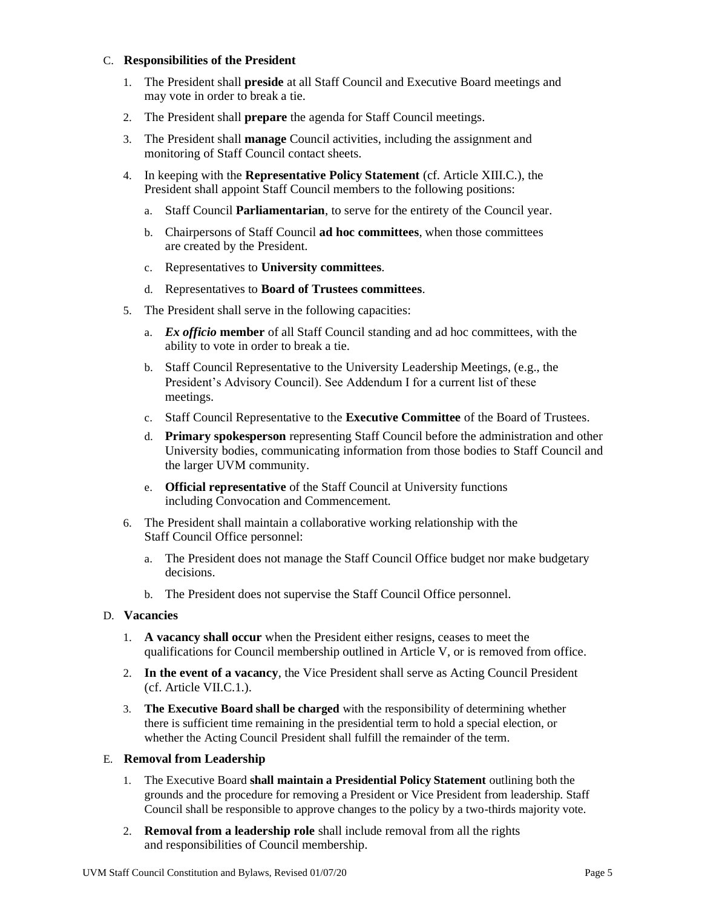#### C. **Responsibilities of the President**

- 1. The President shall **preside** at all Staff Council and Executive Board meetings and may vote in order to break a tie.
- 2. The President shall **prepare** the agenda for Staff Council meetings.
- 3. The President shall **manage** Council activities, including the assignment and monitoring of Staff Council contact sheets.
- 4. In keeping with the **Representative Policy Statement** (cf. Article XIII.C.), the President shall appoint Staff Council members to the following positions:
	- a. Staff Council **Parliamentarian**, to serve for the entirety of the Council year.
	- b. Chairpersons of Staff Council **ad hoc committees**, when those committees are created by the President.
	- c. Representatives to **University committees**.
	- d. Representatives to **Board of Trustees committees**.
- 5. The President shall serve in the following capacities:
	- a. *Ex officio* **member** of all Staff Council standing and ad hoc committees, with the ability to vote in order to break a tie.
	- b. Staff Council Representative to the University Leadership Meetings, (e.g., the President's Advisory Council). See Addendum I for a current list of these meetings.
	- c. Staff Council Representative to the **Executive Committee** of the Board of Trustees.
	- d. **Primary spokesperson** representing Staff Council before the administration and other University bodies, communicating information from those bodies to Staff Council and the larger UVM community.
	- e. **Official representative** of the Staff Council at University functions including Convocation and Commencement.
- 6. The President shall maintain a collaborative working relationship with the Staff Council Office personnel:
	- a. The President does not manage the Staff Council Office budget nor make budgetary decisions.
	- b. The President does not supervise the Staff Council Office personnel.

# D. **Vacancies**

- 1. **A vacancy shall occur** when the President either resigns, ceases to meet the qualifications for Council membership outlined in Article V, or is removed from office.
- 2. **In the event of a vacancy**, the Vice President shall serve as Acting Council President (cf. Article VII.C.1.).
- 3. **The Executive Board shall be charged** with the responsibility of determining whether there is sufficient time remaining in the presidential term to hold a special election, or whether the Acting Council President shall fulfill the remainder of the term.

#### E. **Removal from Leadership**

- 1. The Executive Board **shall maintain a Presidential Policy Statement** outlining both the grounds and the procedure for removing a President or Vice President from leadership. Staff Council shall be responsible to approve changes to the policy by a two-thirds majority vote.
- 2. **Removal from a leadership role** shall include removal from all the rights and responsibilities of Council membership.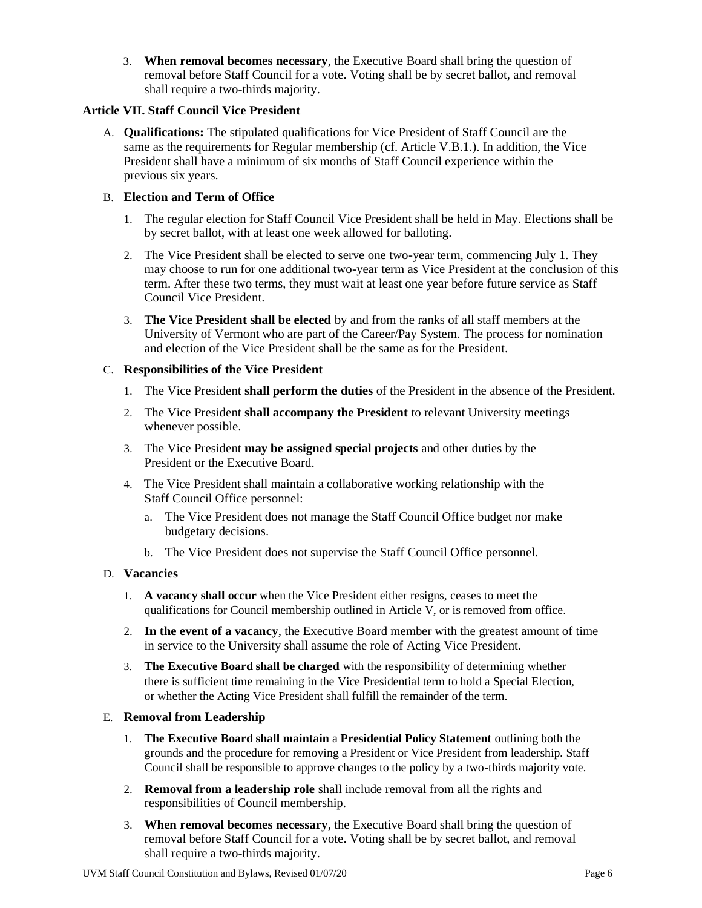3. **When removal becomes necessary**, the Executive Board shall bring the question of removal before Staff Council for a vote. Voting shall be by secret ballot, and removal shall require a two-thirds majority.

#### **Article VII. Staff Council Vice President**

A. **Qualifications:** The stipulated qualifications for Vice President of Staff Council are the same as the requirements for Regular membership (cf. Article V.B.1.). In addition, the Vice President shall have a minimum of six months of Staff Council experience within the previous six years.

## B. **Election and Term of Office**

- 1. The regular election for Staff Council Vice President shall be held in May. Elections shall be by secret ballot, with at least one week allowed for balloting.
- 2. The Vice President shall be elected to serve one two-year term, commencing July 1. They may choose to run for one additional two-year term as Vice President at the conclusion of this term. After these two terms, they must wait at least one year before future service as Staff Council Vice President.
- 3. **The Vice President shall be elected** by and from the ranks of all staff members at the University of Vermont who are part of the Career/Pay System. The process for nomination and election of the Vice President shall be the same as for the President.

## C. **Responsibilities of the Vice President**

- 1. The Vice President **shall perform the duties** of the President in the absence of the President.
- 2. The Vice President **shall accompany the President** to relevant University meetings whenever possible.
- 3. The Vice President **may be assigned special projects** and other duties by the President or the Executive Board.
- 4. The Vice President shall maintain a collaborative working relationship with the Staff Council Office personnel:
	- a. The Vice President does not manage the Staff Council Office budget nor make budgetary decisions.
	- b. The Vice President does not supervise the Staff Council Office personnel.

#### D. **Vacancies**

- 1. **A vacancy shall occur** when the Vice President either resigns, ceases to meet the qualifications for Council membership outlined in Article V, or is removed from office.
- 2. **In the event of a vacancy**, the Executive Board member with the greatest amount of time in service to the University shall assume the role of Acting Vice President.
- 3. **The Executive Board shall be charged** with the responsibility of determining whether there is sufficient time remaining in the Vice Presidential term to hold a Special Election, or whether the Acting Vice President shall fulfill the remainder of the term.

#### E. **Removal from Leadership**

- 1. **The Executive Board shall maintain** a **Presidential Policy Statement** outlining both the grounds and the procedure for removing a President or Vice President from leadership. Staff Council shall be responsible to approve changes to the policy by a two-thirds majority vote.
- 2. **Removal from a leadership role** shall include removal from all the rights and responsibilities of Council membership.
- 3. **When removal becomes necessary**, the Executive Board shall bring the question of removal before Staff Council for a vote. Voting shall be by secret ballot, and removal shall require a two-thirds majority.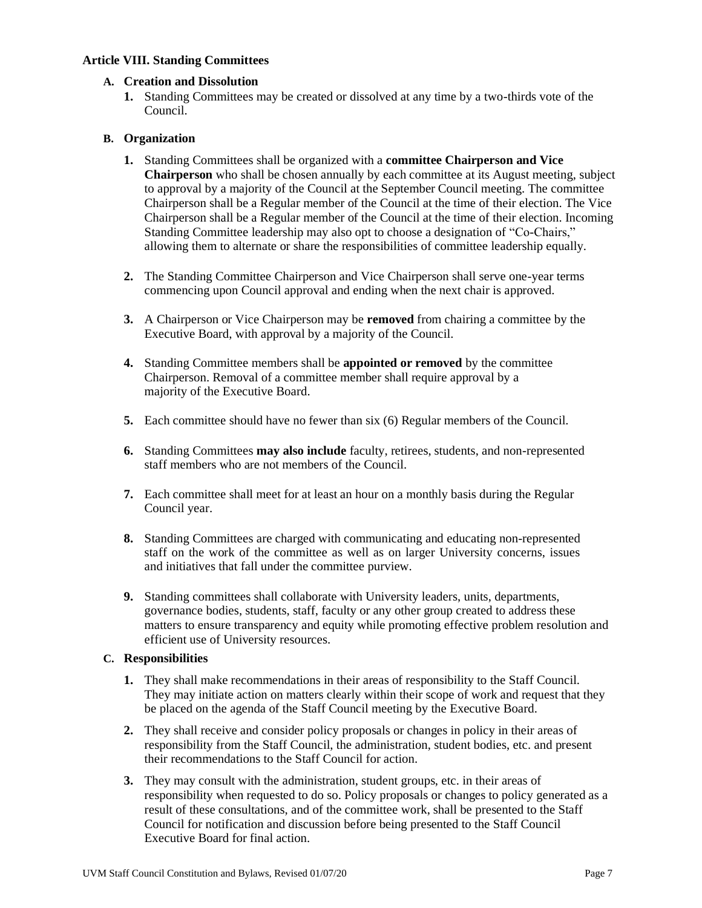## **Article VIII. Standing Committees**

## **A. Creation and Dissolution**

**1.** Standing Committees may be created or dissolved at any time by a two-thirds vote of the Council.

## **B. Organization**

- **1.** Standing Committees shall be organized with a **committee Chairperson and Vice Chairperson** who shall be chosen annually by each committee at its August meeting, subject to approval by a majority of the Council at the September Council meeting. The committee Chairperson shall be a Regular member of the Council at the time of their election. The Vice Chairperson shall be a Regular member of the Council at the time of their election. Incoming Standing Committee leadership may also opt to choose a designation of "Co-Chairs," allowing them to alternate or share the responsibilities of committee leadership equally.
- **2.** The Standing Committee Chairperson and Vice Chairperson shall serve one-year terms commencing upon Council approval and ending when the next chair is approved.
- **3.** A Chairperson or Vice Chairperson may be **removed** from chairing a committee by the Executive Board, with approval by a majority of the Council.
- **4.** Standing Committee members shall be **appointed or removed** by the committee Chairperson. Removal of a committee member shall require approval by a majority of the Executive Board.
- **5.** Each committee should have no fewer than six (6) Regular members of the Council.
- **6.** Standing Committees **may also include** faculty, retirees, students, and non-represented staff members who are not members of the Council.
- **7.** Each committee shall meet for at least an hour on a monthly basis during the Regular Council year.
- **8.** Standing Committees are charged with communicating and educating non-represented staff on the work of the committee as well as on larger University concerns, issues and initiatives that fall under the committee purview.
- **9.** Standing committees shall collaborate with University leaders, units, departments, governance bodies, students, staff, faculty or any other group created to address these matters to ensure transparency and equity while promoting effective problem resolution and efficient use of University resources.

#### **C. Responsibilities**

- **1.** They shall make recommendations in their areas of responsibility to the Staff Council. They may initiate action on matters clearly within their scope of work and request that they be placed on the agenda of the Staff Council meeting by the Executive Board.
- **2.** They shall receive and consider policy proposals or changes in policy in their areas of responsibility from the Staff Council, the administration, student bodies, etc. and present their recommendations to the Staff Council for action.
- **3.** They may consult with the administration, student groups, etc. in their areas of responsibility when requested to do so. Policy proposals or changes to policy generated as a result of these consultations, and of the committee work, shall be presented to the Staff Council for notification and discussion before being presented to the Staff Council Executive Board for final action.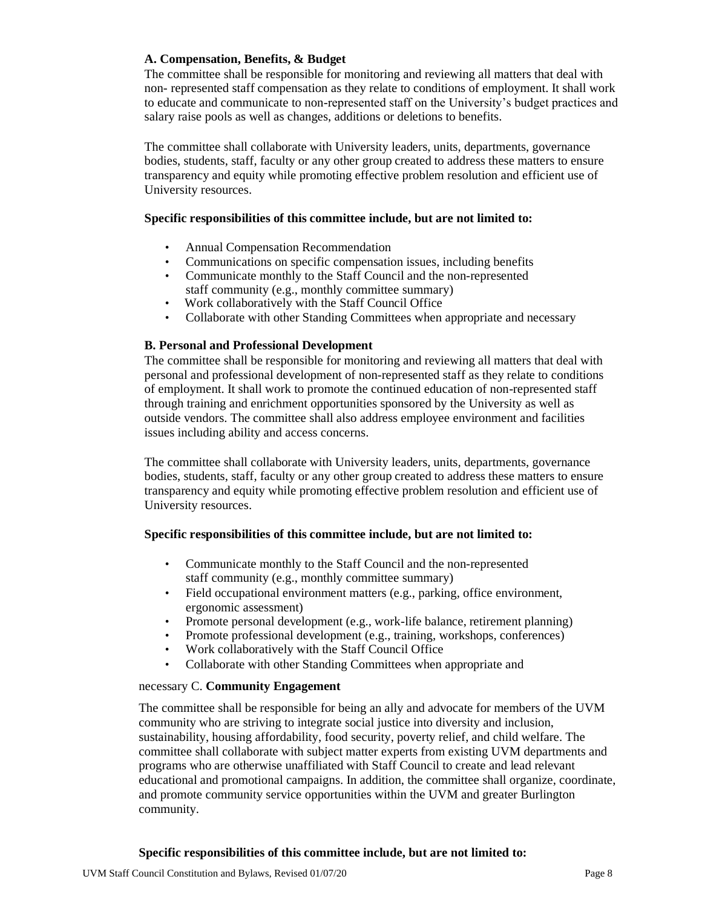## **A. Compensation, Benefits, & Budget**

The committee shall be responsible for monitoring and reviewing all matters that deal with non- represented staff compensation as they relate to conditions of employment. It shall work to educate and communicate to non-represented staff on the University's budget practices and salary raise pools as well as changes, additions or deletions to benefits.

The committee shall collaborate with University leaders, units, departments, governance bodies, students, staff, faculty or any other group created to address these matters to ensure transparency and equity while promoting effective problem resolution and efficient use of University resources.

## **Specific responsibilities of this committee include, but are not limited to:**

- Annual Compensation Recommendation
- Communications on specific compensation issues, including benefits
- Communicate monthly to the Staff Council and the non-represented staff community (e.g., monthly committee summary)
- Work collaboratively with the Staff Council Office
- Collaborate with other Standing Committees when appropriate and necessary

## **B. Personal and Professional Development**

The committee shall be responsible for monitoring and reviewing all matters that deal with personal and professional development of non-represented staff as they relate to conditions of employment. It shall work to promote the continued education of non-represented staff through training and enrichment opportunities sponsored by the University as well as outside vendors. The committee shall also address employee environment and facilities issues including ability and access concerns.

The committee shall collaborate with University leaders, units, departments, governance bodies, students, staff, faculty or any other group created to address these matters to ensure transparency and equity while promoting effective problem resolution and efficient use of University resources.

#### **Specific responsibilities of this committee include, but are not limited to:**

- Communicate monthly to the Staff Council and the non-represented staff community (e.g., monthly committee summary)
- Field occupational environment matters (e.g., parking, office environment, ergonomic assessment)
- Promote personal development (e.g., work-life balance, retirement planning)
- Promote professional development (e.g., training, workshops, conferences)
- Work collaboratively with the Staff Council Office
- Collaborate with other Standing Committees when appropriate and

#### necessary C. **Community Engagement**

The committee shall be responsible for being an ally and advocate for members of the UVM community who are striving to integrate social justice into diversity and inclusion, sustainability, housing affordability, food security, poverty relief, and child welfare. The committee shall collaborate with subject matter experts from existing UVM departments and programs who are otherwise unaffiliated with Staff Council to create and lead relevant educational and promotional campaigns. In addition, the committee shall organize, coordinate, and promote community service opportunities within the UVM and greater Burlington community.

#### **Specific responsibilities of this committee include, but are not limited to:**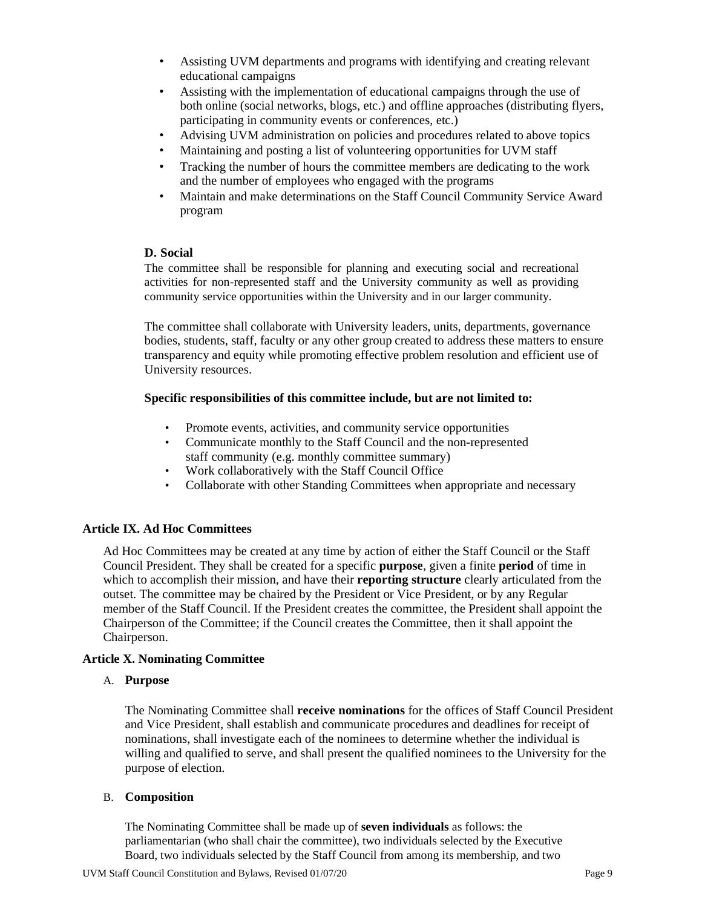- Assisting UVM departments and programs with identifying and creating relevant educational campaigns
- Assisting with the implementation of educational campaigns through the use of both online (social networks, blogs, etc.) and offline approaches (distributing flyers, participating in community events or conferences, etc.)
- Advising UVM administration on policies and procedures related to above topics
- Maintaining and posting a list of volunteering opportunities for UVM staff
- Tracking the number of hours the committee members are dedicating to the work and the number of employees who engaged with the programs
- Maintain and make determinations on the Staff Council Community Service Award program

#### **D. Social**

The committee shall be responsible for planning and executing social and recreational activities for non-represented staff and the University community as well as providing community service opportunities within the University and in our larger community.

The committee shall collaborate with University leaders, units, departments, governance bodies, students, staff, faculty or any other group created to address these matters to ensure transparency and equity while promoting effective problem resolution and efficient use of University resources.

#### **Specific responsibilities of this committee include, but are not limited to:**

- Promote events, activities, and community service opportunities
- Communicate monthly to the Staff Council and the non-represented staff community (e.g. monthly committee summary)
- Work collaboratively with the Staff Council Office
- Collaborate with other Standing Committees when appropriate and necessary

#### **Article IX. Ad Hoc Committees**

Ad Hoc Committees may be created at any time by action of either the Staff Council or the Staff Council President. They shall be created for a specific **purpose**, given a finite **period** of time in which to accomplish their mission, and have their **reporting structure** clearly articulated from the outset. The committee may be chaired by the President or Vice President, or by any Regular member of the Staff Council. If the President creates the committee, the President shall appoint the Chairperson of the Committee; if the Council creates the Committee, then it shall appoint the Chairperson.

#### **Article X. Nominating Committee**

#### A. **Purpose**

The Nominating Committee shall **receive nominations** for the offices of Staff Council President and Vice President, shall establish and communicate procedures and deadlines for receipt of nominations, shall investigate each of the nominees to determine whether the individual is willing and qualified to serve, and shall present the qualified nominees to the University for the purpose of election.

#### B. **Composition**

The Nominating Committee shall be made up of **seven individuals** as follows: the parliamentarian (who shall chair the committee), two individuals selected by the Executive Board, two individuals selected by the Staff Council from among its membership, and two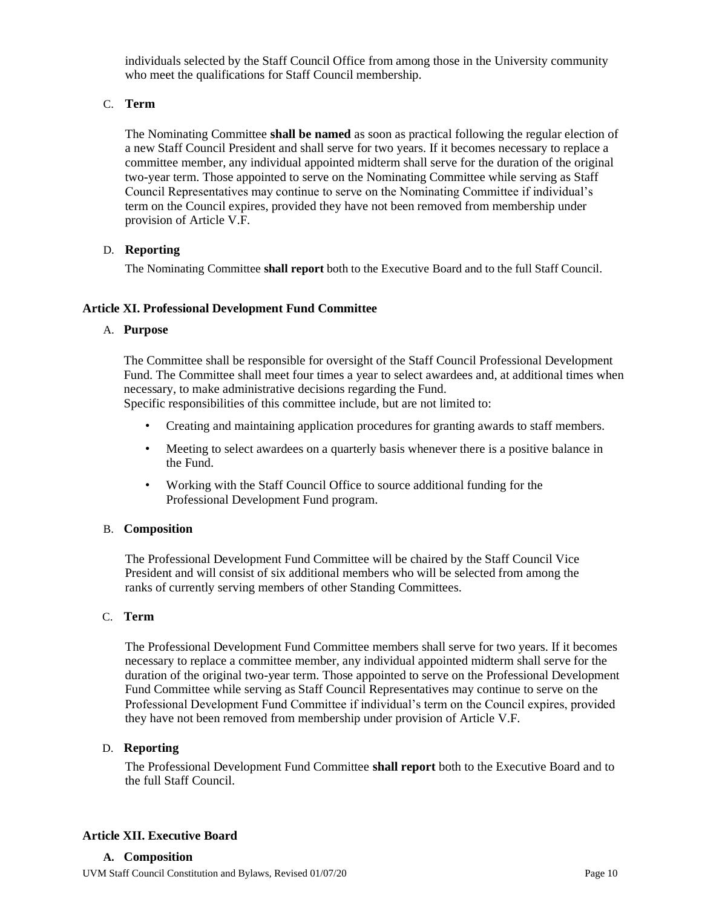individuals selected by the Staff Council Office from among those in the University community who meet the qualifications for Staff Council membership.

## C. **Term**

The Nominating Committee **shall be named** as soon as practical following the regular election of a new Staff Council President and shall serve for two years. If it becomes necessary to replace a committee member, any individual appointed midterm shall serve for the duration of the original two-year term. Those appointed to serve on the Nominating Committee while serving as Staff Council Representatives may continue to serve on the Nominating Committee if individual's term on the Council expires, provided they have not been removed from membership under provision of Article V.F.

## D. **Reporting**

The Nominating Committee **shall report** both to the Executive Board and to the full Staff Council.

## **Article XI. Professional Development Fund Committee**

#### A. **Purpose**

The Committee shall be responsible for oversight of the Staff Council Professional Development Fund. The Committee shall meet four times a year to select awardees and, at additional times when necessary, to make administrative decisions regarding the Fund. Specific responsibilities of this committee include, but are not limited to:

- Creating and maintaining application procedures for granting awards to staff members.
- Meeting to select awardees on a quarterly basis whenever there is a positive balance in the Fund.
- Working with the Staff Council Office to source additional funding for the Professional Development Fund program.

#### B. **Composition**

The Professional Development Fund Committee will be chaired by the Staff Council Vice President and will consist of six additional members who will be selected from among the ranks of currently serving members of other Standing Committees.

#### C. **Term**

The Professional Development Fund Committee members shall serve for two years. If it becomes necessary to replace a committee member, any individual appointed midterm shall serve for the duration of the original two-year term. Those appointed to serve on the Professional Development Fund Committee while serving as Staff Council Representatives may continue to serve on the Professional Development Fund Committee if individual's term on the Council expires, provided they have not been removed from membership under provision of Article V.F.

#### D. **Reporting**

The Professional Development Fund Committee **shall report** both to the Executive Board and to the full Staff Council.

#### **Article XII. Executive Board**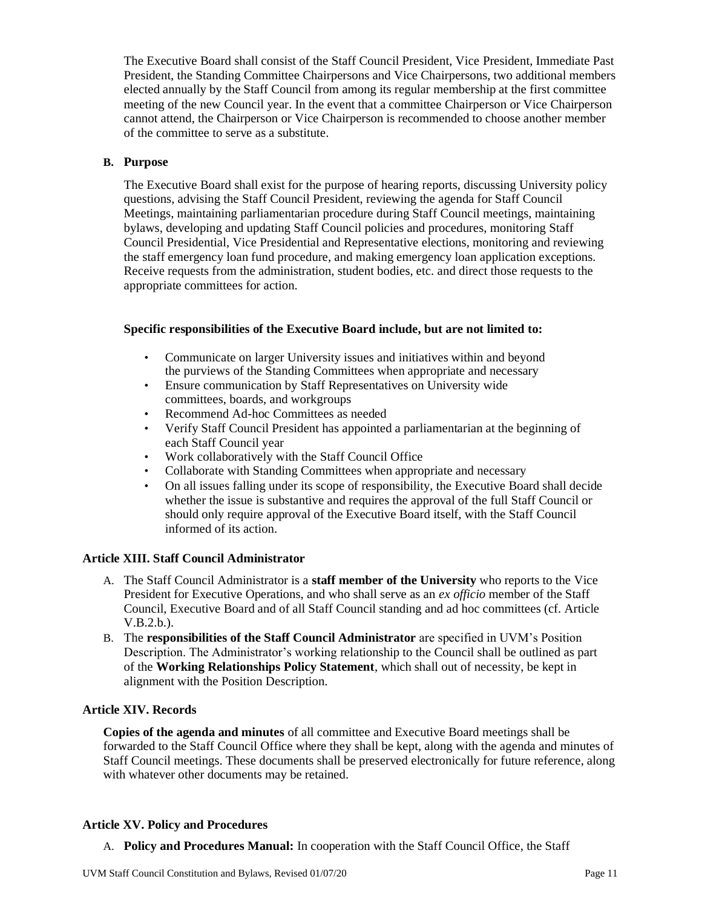The Executive Board shall consist of the Staff Council President, Vice President, Immediate Past President, the Standing Committee Chairpersons and Vice Chairpersons, two additional members elected annually by the Staff Council from among its regular membership at the first committee meeting of the new Council year. In the event that a committee Chairperson or Vice Chairperson cannot attend, the Chairperson or Vice Chairperson is recommended to choose another member of the committee to serve as a substitute.

#### **B. Purpose**

The Executive Board shall exist for the purpose of hearing reports, discussing University policy questions, advising the Staff Council President, reviewing the agenda for Staff Council Meetings, maintaining parliamentarian procedure during Staff Council meetings, maintaining bylaws, developing and updating Staff Council policies and procedures, monitoring Staff Council Presidential, Vice Presidential and Representative elections, monitoring and reviewing the staff emergency loan fund procedure, and making emergency loan application exceptions. Receive requests from the administration, student bodies, etc. and direct those requests to the appropriate committees for action.

#### **Specific responsibilities of the Executive Board include, but are not limited to:**

- Communicate on larger University issues and initiatives within and beyond the purviews of the Standing Committees when appropriate and necessary
- Ensure communication by Staff Representatives on University wide committees, boards, and workgroups
- Recommend Ad-hoc Committees as needed
- Verify Staff Council President has appointed a parliamentarian at the beginning of each Staff Council year
- Work collaboratively with the Staff Council Office
- Collaborate with Standing Committees when appropriate and necessary
- On all issues falling under its scope of responsibility, the Executive Board shall decide whether the issue is substantive and requires the approval of the full Staff Council or should only require approval of the Executive Board itself, with the Staff Council informed of its action.

#### **Article XIII. Staff Council Administrator**

- A. The Staff Council Administrator is a **staff member of the University** who reports to the Vice President for Executive Operations, and who shall serve as an *ex officio* member of the Staff Council, Executive Board and of all Staff Council standing and ad hoc committees (cf. Article V.B.2.b.).
- B. The **responsibilities of the Staff Council Administrator** are specified in UVM's Position Description. The Administrator's working relationship to the Council shall be outlined as part of the **Working Relationships Policy Statement**, which shall out of necessity, be kept in alignment with the Position Description.

#### **Article XIV. Records**

**Copies of the agenda and minutes** of all committee and Executive Board meetings shall be forwarded to the Staff Council Office where they shall be kept, along with the agenda and minutes of Staff Council meetings. These documents shall be preserved electronically for future reference, along with whatever other documents may be retained.

#### **Article XV. Policy and Procedures**

A. **Policy and Procedures Manual:** In cooperation with the Staff Council Office, the Staff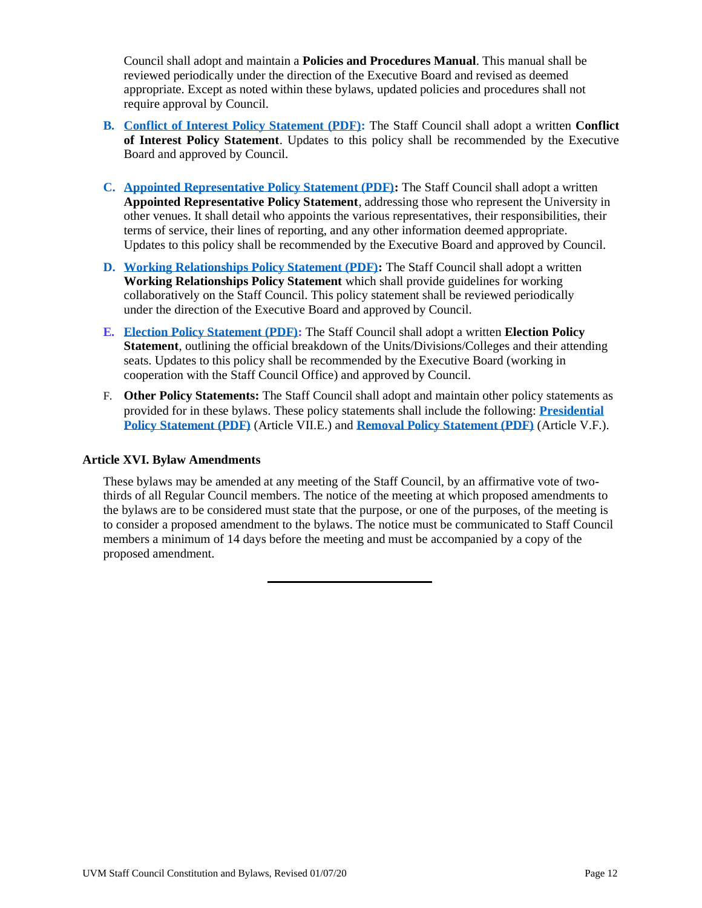Council shall adopt and maintain a **Policies and Procedures Manual**. This manual shall be reviewed periodically under the direction of the Executive Board and revised as deemed appropriate. Except as noted within these bylaws, updated policies and procedures shall not require approval by Council.

- **B. [Conflict of Interest Policy Statement \(PDF\):](https://www.uvm.edu/sites/default/files/Staff-Council/Bylaws/scbylaws_conflictofinterestpolicy.pdf)** The Staff Council shall adopt a written **Conflict of Interest Policy Statement**. Updates to this policy shall be recommended by the Executive Board and approved by Council.
- **C. [Appointed Representative Policy Statement \(PDF\):](https://www.uvm.edu/sites/default/files/Staff-Council/Bylaws/scbylaws_appointedrepresentativepolicy.pdf)** The Staff Council shall adopt a written **Appointed Representative Policy Statement**, addressing those who represent the University in other venues. It shall detail who appoints the various representatives, their responsibilities, their terms of service, their lines of reporting, and any other information deemed appropriate. Updates to this policy shall be recommended by the Executive Board and approved by Council.
- **D. [Working Relationships Policy Statement \(PDF\):](https://www.uvm.edu/sites/default/files/Staff-Council/Bylaws/scbylaws_workingrelationshippolicy.pdf)** The Staff Council shall adopt a written **Working Relationships Policy Statement** which shall provide guidelines for working collaboratively on the Staff Council. This policy statement shall be reviewed periodically under the direction of the Executive Board and approved by Council.
- **E. [Election Policy Statement \(PDF\):](https://www.uvm.edu/sites/default/files/Staff-Council/Bylaws/scbylaws_electionpolicystatement.pdf)** The Staff Council shall adopt a written **Election Policy Statement**, outlining the official breakdown of the Units/Divisions/Colleges and their attending seats. Updates to this policy shall be recommended by the Executive Board (working in cooperation with the Staff Council Office) and approved by Council.
- F. **Other Policy Statements:** The Staff Council shall adopt and maintain other policy statements as provided for in these bylaws. These policy statements shall include the following: **[Presidential](https://www.uvm.edu/sites/default/files/Staff-Council/Bylaws/scbylaws_presidentialpolicystatement.pdf) [Policy Statement \(PDF\)](https://www.uvm.edu/sites/default/files/Staff-Council/Bylaws/scbylaws_presidentialpolicystatement.pdf)** (Article VII.E.) and **[Removal Policy Statement \(PDF\)](https://www.uvm.edu/sites/default/files/Staff-Council/Bylaws/scbylaws_absenteeismpolicystatement.pdf)** (Article V.F.).

#### **Article XVI. Bylaw Amendments**

These bylaws may be amended at any meeting of the Staff Council, by an affirmative vote of twothirds of all Regular Council members. The notice of the meeting at which proposed amendments to the bylaws are to be considered must state that the purpose, or one of the purposes, of the meeting is to consider a proposed amendment to the bylaws. The notice must be communicated to Staff Council members a minimum of 14 days before the meeting and must be accompanied by a copy of the proposed amendment.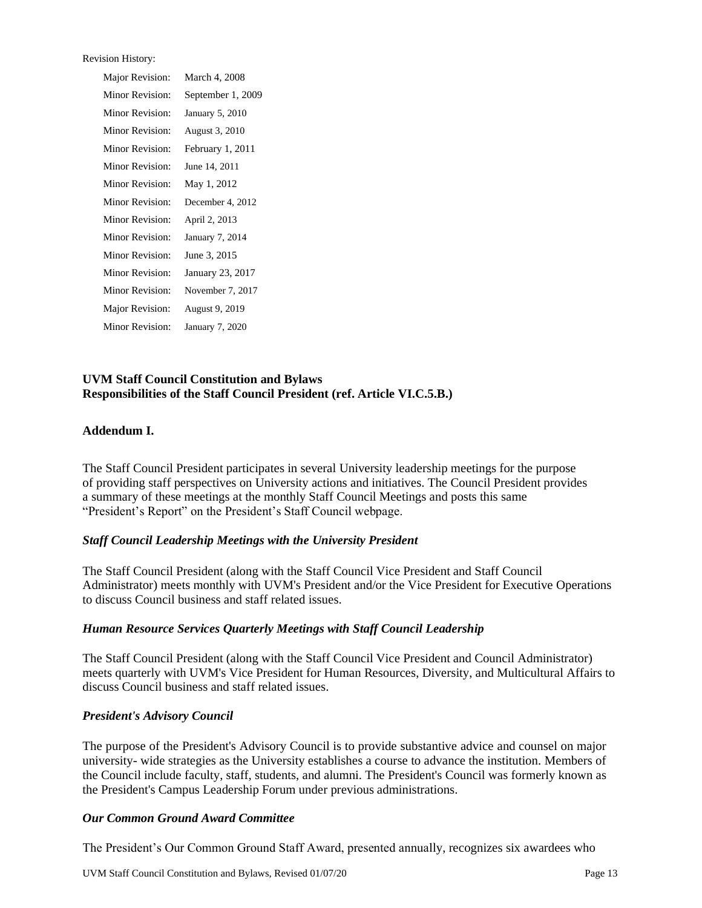| <b>Revision History:</b> |                   |
|--------------------------|-------------------|
| Major Revision:          | March 4, 2008     |
| Minor Revision:          | September 1, 2009 |
| Minor Revision:          | January 5, 2010   |
| Minor Revision:          | August 3, 2010    |
| Minor Revision:          | February 1, 2011  |
| Minor Revision:          | June 14, 2011     |
| Minor Revision:          | May 1, 2012       |
| Minor Revision:          | December 4, 2012  |
| Minor Revision:          | April 2, 2013     |
| Minor Revision:          | January 7, 2014   |
| Minor Revision:          | June 3, 2015      |
| Minor Revision:          | January 23, 2017  |
| Minor Revision:          | November 7, 2017  |
| Major Revision:          | August 9, 2019    |
| Minor Revision:          | January 7, 2020   |

## **UVM Staff Council Constitution and Bylaws Responsibilities of the Staff Council President (ref. Article VI.C.5.B.)**

#### **Addendum I.**

The Staff Council President participates in several University leadership meetings for the purpose of providing staff perspectives on University actions and initiatives. The Council President provides a summary of these meetings at the monthly Staff Council Meetings and posts this same "President's Report" on the President's Staff Council webpage.

#### *Staff Council Leadership Meetings with the University President*

The Staff Council President (along with the Staff Council Vice President and Staff Council Administrator) meets monthly with [UVM's President a](http://www.uvm.edu/~presdent/)nd/or the Vice President for Executive Operations to discuss Council business and staff related issues.

#### *Human Resource Services Quarterly Meetings with Staff Council Leadership*

The Staff Council President (along with the Staff Council Vice President and Council Administrator) meets quarterly with UVM's Vice President for Human Resources, Diversity, and Multicultural Affairs to discuss Council business and staff related issues.

#### *President's Advisory Council*

The purpose of the President's Advisory Council is to provide substantive advice and counsel on major university- wide strategies as the University establishes a course to advance the institution. Members of the Council include faculty, staff, students, and alumni. The President's Council was formerly known as the President's Campus Leadership Forum under previous administrations.

#### *Our Common Ground Award Committee*

The President's Our Common Ground Staff Award, presented annually, recognizes six awardees who